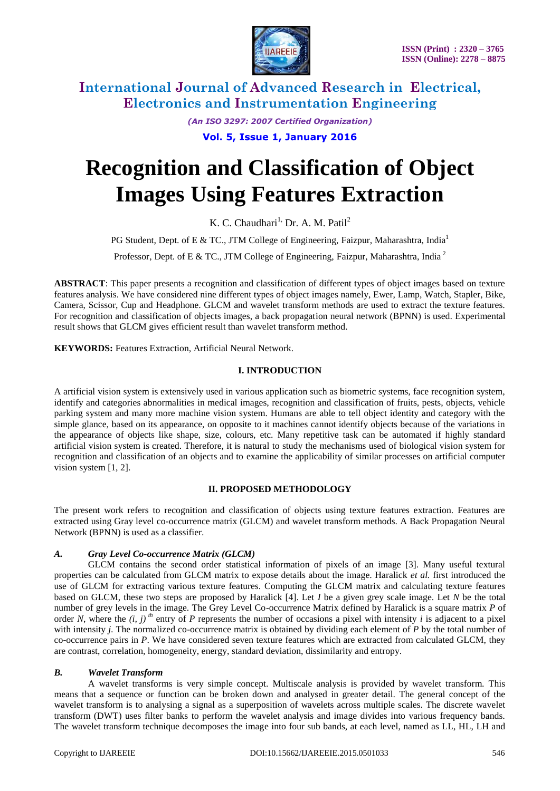

*(An ISO 3297: 2007 Certified Organization)* **Vol. 5, Issue 1, January 2016**

# **Recognition and Classification of Object Images Using Features Extraction**

K. C. Chaudhari<sup>1,</sup> Dr. A. M. Patil<sup>2</sup>

PG Student, Dept. of E & TC., JTM College of Engineering, Faizpur, Maharashtra, India<sup>1</sup>

Professor, Dept. of E & TC., JTM College of Engineering, Faizpur, Maharashtra, India<sup>2</sup>

**ABSTRACT**: This paper presents a recognition and classification of different types of object images based on texture features analysis. We have considered nine different types of object images namely, Ewer, Lamp, Watch, Stapler, Bike, Camera, Scissor, Cup and Headphone. GLCM and wavelet transform methods are used to extract the texture features. For recognition and classification of objects images, a back propagation neural network (BPNN) is used. Experimental result shows that GLCM gives efficient result than wavelet transform method.

**KEYWORDS:** Features Extraction, Artificial Neural Network.

### **I. INTRODUCTION**

A artificial vision system is extensively used in various application such as biometric systems, face recognition system, identify and categories abnormalities in medical images, recognition and classification of fruits, pests, objects, vehicle parking system and many more machine vision system. Humans are able to tell object identity and category with the simple glance, based on its appearance, on opposite to it machines cannot identify objects because of the variations in the appearance of objects like shape, size, colours, etc. Many repetitive task can be automated if highly standard artificial vision system is created. Therefore, it is natural to study the mechanisms used of biological vision system for recognition and classification of an objects and to examine the applicability of similar processes on artificial computer vision system [1, 2].

### **II. PROPOSED METHODOLOGY**

The present work refers to recognition and classification of objects using texture features extraction. Features are extracted using Gray level co-occurrence matrix (GLCM) and wavelet transform methods. A Back Propagation Neural Network (BPNN) is used as a classifier.

### *A. Gray Level Co-occurrence Matrix (GLCM)*

GLCM contains the second order statistical information of pixels of an image [3]. Many useful textural properties can be calculated from GLCM matrix to expose details about the image. Haralick *et al.* first introduced the use of GLCM for extracting various texture features. Computing the GLCM matrix and calculating texture features based on GLCM, these two steps are proposed by Haralick [4]. Let *I* be a given grey scale image. Let *N* be the total number of grey levels in the image. The Grey Level Co-occurrence Matrix defined by Haralick is a square matrix *P* of order *N*, where the  $(i, j)$ <sup>th</sup> entry of *P* represents the number of occasions a pixel with intensity *i* is adjacent to a pixel with intensity *j*. The normalized co-occurrence matrix is obtained by dividing each element of *P* by the total number of co-occurrence pairs in *P*. We have considered seven texture features which are extracted from calculated GLCM, they are contrast, correlation, homogeneity, energy, standard deviation, dissimilarity and entropy.

### *B. Wavelet Transform*

A wavelet transforms is very simple concept. Multiscale analysis is provided by wavelet transform. This means that a sequence or function can be broken down and analysed in greater detail. The general concept of the wavelet transform is to analysing a signal as a superposition of wavelets across multiple scales. The discrete wavelet transform (DWT) uses filter banks to perform the wavelet analysis and image divides into various frequency bands. The wavelet transform technique decomposes the image into four sub bands, at each level, named as LL, HL, LH and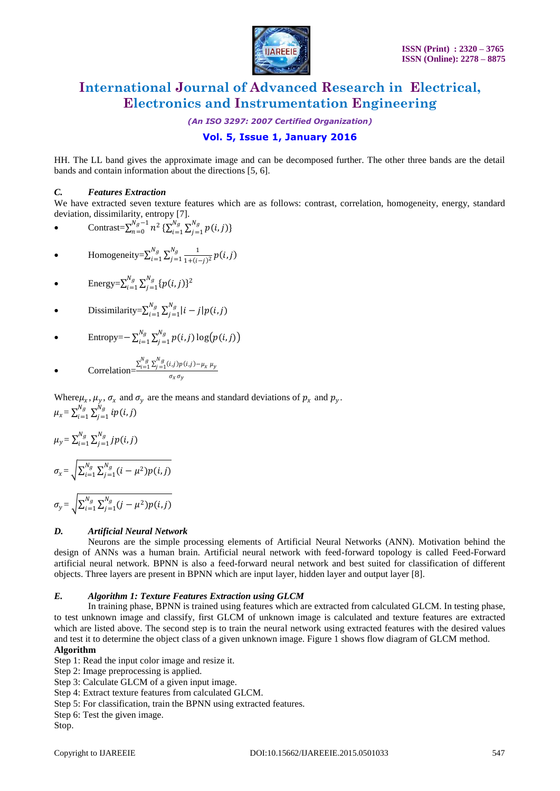

*(An ISO 3297: 2007 Certified Organization)*

# **Vol. 5, Issue 1, January 2016**

HH. The LL band gives the approximate image and can be decomposed further. The other three bands are the detail bands and contain information about the directions [5, 6].

#### *C. Features Extraction*

We have extracted seven texture features which are as follows: contrast, correlation, homogeneity, energy, standard deviation, dissimilarity, entropy [7].

• 
$$
\text{Contrast} = \sum_{n=0}^{N_g - 1} n^2 \, \{ \sum_{i=1}^{N_g} \sum_{j=1}^{N_g} p(i, j) \}
$$

$$
\bullet \qquad \text{Homogeneity} = \sum_{i=1}^{N_g} \sum_{j=1}^{N_g} \frac{1}{1 + (i-j)^2} p(i,j)
$$

• Energy= $\sum_{i=1}^{N_g} \sum_{j=1}^{N_g} \{p(i,j)\}^2$  $j=1$  $N_g$  $i=1$ 

• **Dissimilarity**=
$$
\sum_{i=1}^{N_g} \sum_{j=1}^{N_g} |i-j| p(i,j)
$$

• 
$$
\text{Entropy} = \sum_{i=1}^{N_g} \sum_{j=1}^{N_g} p(i,j) \log(p(i,j))
$$

• Correlation=
$$
\frac{\sum_{i=1}^{N_g}\sum_{j=1}^{N_g}(i,j)p(i,j)-\mu_x\mu_y}{\sigma_x\sigma_y}
$$

Where  $\mu_x$ ,  $\mu_y$ ,  $\sigma_x$  and  $\sigma_y$  are the means and standard deviations of  $p_x$  and  $p_y$ .  $\mu_x = \sum_{i=1}^{N_g} \sum_{j=1}^{N_g} i p(i,j)$  $j=1$  $N_g$  $i=1$ 

$$
\mu_{y} = \sum_{i=1}^{N_g} \sum_{j=1}^{N_g} j p(i, j)
$$
  

$$
\sigma_{x} = \sqrt{\sum_{i=1}^{N_g} \sum_{j=1}^{N_g} (i - \mu^2) p(i, j)}
$$
  

$$
\sigma_{y} = \sqrt{\sum_{i=1}^{N_g} \sum_{j=1}^{N_g} (j - \mu^2) p(i, j)}
$$

#### *D. Artificial Neural Network*

Neurons are the simple processing elements of Artificial Neural Networks (ANN). Motivation behind the design of ANNs was a human brain. Artificial neural network with feed-forward topology is called Feed-Forward artificial neural network. BPNN is also a feed-forward neural network and best suited for classification of different objects. Three layers are present in BPNN which are input layer, hidden layer and output layer [8].

#### *E. Algorithm 1: Texture Features Extraction using GLCM*

In training phase, BPNN is trained using features which are extracted from calculated GLCM. In testing phase, to test unknown image and classify, first GLCM of unknown image is calculated and texture features are extracted which are listed above. The second step is to train the neural network using extracted features with the desired values and test it to determine the object class of a given unknown image. Figure 1 shows flow diagram of GLCM method. **Algorithm**

Step 1: Read the input color image and resize it.

Step 2: Image preprocessing is applied.

Step 3: Calculate GLCM of a given input image.

Step 4: Extract texture features from calculated GLCM.

Step 5: For classification, train the BPNN using extracted features.

Step 6: Test the given image.

Stop.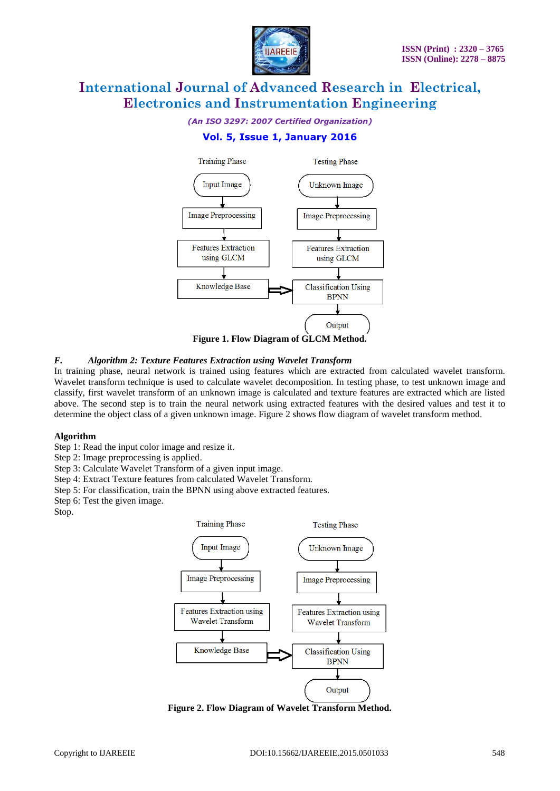

*(An ISO 3297: 2007 Certified Organization)*

# **Vol. 5, Issue 1, January 2016**



#### *F. Algorithm 2: Texture Features Extraction using Wavelet Transform*

In training phase, neural network is trained using features which are extracted from calculated wavelet transform. Wavelet transform technique is used to calculate wavelet decomposition. In testing phase, to test unknown image and classify, first wavelet transform of an unknown image is calculated and texture features are extracted which are listed above. The second step is to train the neural network using extracted features with the desired values and test it to determine the object class of a given unknown image. Figure 2 shows flow diagram of wavelet transform method.

#### **Algorithm**

Step 1: Read the input color image and resize it.

Step 2: Image preprocessing is applied.

Step 3: Calculate Wavelet Transform of a given input image.

Step 4: Extract Texture features from calculated Wavelet Transform.

Step 5: For classification, train the BPNN using above extracted features.

Step 6: Test the given image.

Stop.



**Figure 2. Flow Diagram of Wavelet Transform Method.**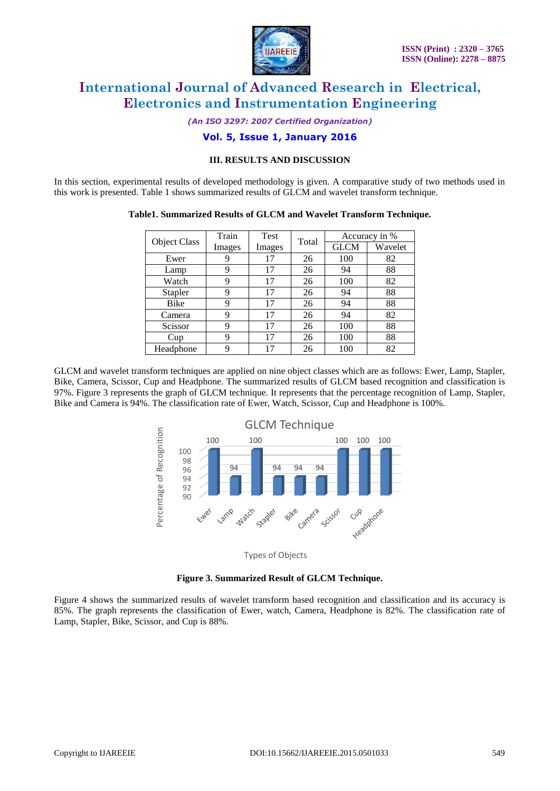

*(An ISO 3297: 2007 Certified Organization)*

## **Vol. 5, Issue 1, January 2016**

#### **III. RESULTS AND DISCUSSION**

In this section, experimental results of developed methodology is given. A comparative study of two methods used in this work is presented. Table 1 shows summarized results of GLCM and wavelet transform technique.

#### **Table1. Summarized Results of GLCM and Wavelet Transform Technique.**

| <b>Object Class</b> | Train  | Test   | Total | Accuracy in % |         |
|---------------------|--------|--------|-------|---------------|---------|
|                     | Images | Images |       | <b>GLCM</b>   | Wavelet |
| Ewer                |        | 17     | 26    | 100           | 82      |
| Lamp                | 9      | 17     | 26    | 94            | 88      |
| Watch               | 9      | 17     | 26    | 100           | 82      |
| Stapler             | 9      | 17     | 26    | 94            | 88      |
| <b>Bike</b>         | 9      | 17     | 26    | 94            | 88      |
| Camera              | 9      | 17     | 26    | 94            | 82      |
| Scissor             | 9      | 17     | 26    | 100           | 88      |
| Cup                 | 9      | 17     | 26    | 100           | 88      |
| Headphone           | 9      | 17     | 26    | 100           | 82      |

GLCM and wavelet transform techniques are applied on nine object classes which are as follows: Ewer, Lamp, Stapler, Bike, Camera, Scissor, Cup and Headphone. The summarized results of GLCM based recognition and classification is 97%. Figure 3 represents the graph of GLCM technique. It represents that the percentage recognition of Lamp, Stapler, Bike and Camera is 94%. The classification rate of Ewer, Watch, Scissor, Cup and Headphone is 100%.



Types of Objects

#### **Figure 3. Summarized Result of GLCM Technique.**

Figure 4 shows the summarized results of wavelet transform based recognition and classification and its accuracy is 85%. The graph represents the classification of Ewer, watch, Camera, Headphone is 82%. The classification rate of Lamp, Stapler, Bike, Scissor, and Cup is 88%.